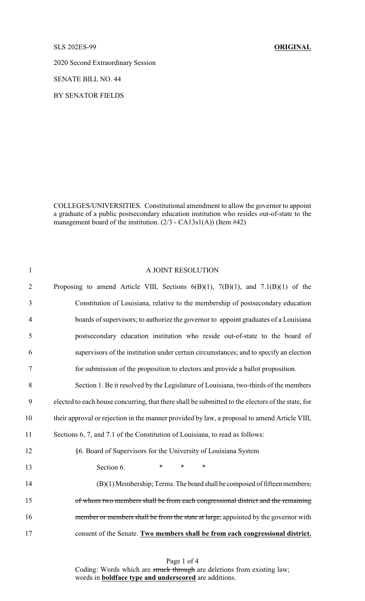## SLS 202ES-99 **ORIGINAL**

2020 Second Extraordinary Session

SENATE BILL NO. 44

BY SENATOR FIELDS

COLLEGES/UNIVERSITIES. Constitutional amendment to allow the governor to appoint a graduate of a public postsecondary education institution who resides out-of-state to the management board of the institution. (2/3 - CA13s1(A)) (Item #42)

| $\mathbf{1}$   | A JOINT RESOLUTION                                                                                |
|----------------|---------------------------------------------------------------------------------------------------|
| $\overline{2}$ | Proposing to amend Article VIII, Sections $6(B)(1)$ , $7(B)(1)$ , and $7.1(B)(1)$ of the          |
| 3              | Constitution of Louisiana, relative to the membership of postsecondary education                  |
| $\overline{4}$ | boards of supervisors; to authorize the governor to appoint graduates of a Louisiana              |
| 5              | postsecondary education institution who reside out-of-state to the board of                       |
| 6              | supervisors of the institution under certain circumstances; and to specify an election            |
| 7              | for submission of the proposition to electors and provide a ballot proposition.                   |
| 8              | Section 1. Be it resolved by the Legislature of Louisiana, two-thirds of the members              |
| 9              | elected to each house concurring, that there shall be submitted to the electors of the state, for |
| 10             | their approval or rejection in the manner provided by law, a proposal to amend Article VIII,      |
| 11             | Sections 6, 7, and 7.1 of the Constitution of Louisiana, to read as follows:                      |
| 12             | §6. Board of Supervisors for the University of Louisiana System                                   |
| 13             | Section 6.<br>$\ast$<br>$\ast$<br>*                                                               |
| 14             | (B)(1) Membership; Terms. The board shall be composed of fifteen members,                         |
| 15             | of whom two members shall be from each congressional district and the remaining                   |
| 16             | member or members shall be from the state at large, appointed by the governor with                |
| 17             | consent of the Senate. Two members shall be from each congressional district.                     |

Page 1 of 4 Coding: Words which are struck through are deletions from existing law; words in **boldface type and underscored** are additions.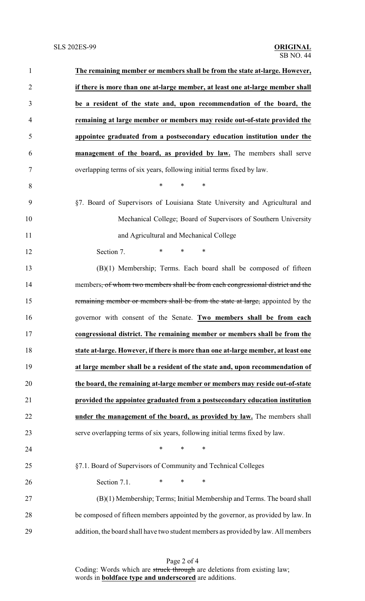| $\mathbf{1}$   | The remaining member or members shall be from the state at-large. However,                 |  |  |
|----------------|--------------------------------------------------------------------------------------------|--|--|
| $\overline{2}$ | if there is more than one at-large member, at least one at-large member shall              |  |  |
| 3              | be a resident of the state and, upon recommendation of the board, the                      |  |  |
| $\overline{4}$ | remaining at large member or members may reside out-of-state provided the                  |  |  |
| 5              | appointee graduated from a postsecondary education institution under the                   |  |  |
| 6              | management of the board, as provided by law. The members shall serve                       |  |  |
| 7              | overlapping terms of six years, following initial terms fixed by law.                      |  |  |
| 8              | $\ast$<br>*<br>∗                                                                           |  |  |
| 9              | §7. Board of Supervisors of Louisiana State University and Agricultural and                |  |  |
| 10             | Mechanical College; Board of Supervisors of Southern University                            |  |  |
| 11             | and Agricultural and Mechanical College                                                    |  |  |
| 12             | *<br>$\ast$<br>$\ast$<br>Section 7.                                                        |  |  |
| 13             | (B)(1) Membership; Terms. Each board shall be composed of fifteen                          |  |  |
| 14             | members <del>, of whom two members shall be from each congressional district and the</del> |  |  |
| 15             | remaining member or members shall be from the state at large, appointed by the             |  |  |
| 16             | governor with consent of the Senate. Two members shall be from each                        |  |  |
| 17             | congressional district. The remaining member or members shall be from the                  |  |  |
| 18             | state at-large. However, if there is more than one at-large member, at least one           |  |  |
| 19             | at large member shall be a resident of the state and, upon recommendation of               |  |  |
| 20             | the board, the remaining at-large member or members may reside out-of-state                |  |  |
| 21             | provided the appointee graduated from a postsecondary education institution                |  |  |
| 22             | under the management of the board, as provided by law. The members shall                   |  |  |
| 23             | serve overlapping terms of six years, following initial terms fixed by law.                |  |  |
| 24             | $\ast$<br>*<br>$\ast$                                                                      |  |  |
| 25             | §7.1. Board of Supervisors of Community and Technical Colleges                             |  |  |
| 26             | $\ast$<br>Section 7.1.<br>*<br>∗                                                           |  |  |
| 27             | (B)(1) Membership; Terms; Initial Membership and Terms. The board shall                    |  |  |
| 28             | be composed of fifteen members appointed by the governor, as provided by law. In           |  |  |
| 29             | addition, the board shall have two student members as provided by law. All members         |  |  |

Page 2 of 4 Coding: Words which are struck through are deletions from existing law; words in **boldface type and underscored** are additions.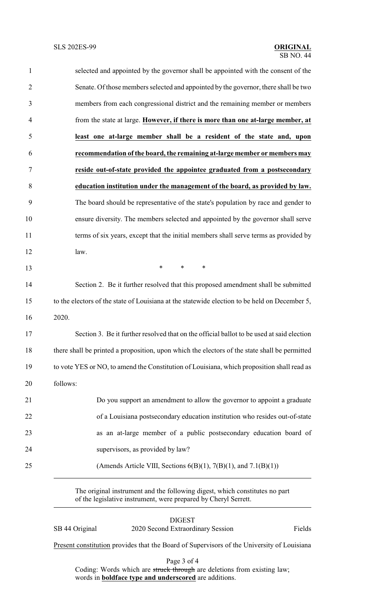| 1              | selected and appointed by the governor shall be appointed with the consent of the             |  |
|----------------|-----------------------------------------------------------------------------------------------|--|
| $\overline{2}$ | Senate. Of those members selected and appointed by the governor, there shall be two           |  |
| 3              | members from each congressional district and the remaining member or members                  |  |
| $\overline{4}$ | from the state at large. However, if there is more than one at-large member, at               |  |
| 5              | least one at-large member shall be a resident of the state and, upon                          |  |
| 6              | recommendation of the board, the remaining at-large member or members may                     |  |
| 7              | reside out-of-state provided the appointee graduated from a postsecondary                     |  |
| 8              | education institution under the management of the board, as provided by law.                  |  |
| 9              | The board should be representative of the state's population by race and gender to            |  |
| 10             | ensure diversity. The members selected and appointed by the governor shall serve              |  |
| 11             | terms of six years, except that the initial members shall serve terms as provided by          |  |
| 12             | law.                                                                                          |  |
| 13             | $\ast$<br>$\ast$<br>∗                                                                         |  |
| 14             | Section 2. Be it further resolved that this proposed amendment shall be submitted             |  |
| 15             | to the electors of the state of Louisiana at the statewide election to be held on December 5, |  |
| 16             | 2020.                                                                                         |  |
| 17             | Section 3. Be it further resolved that on the official ballot to be used at said election     |  |
| 18             | there shall be printed a proposition, upon which the electors of the state shall be permitted |  |
| 19             | to vote YES or NO, to amend the Constitution of Louisiana, which proposition shall read as    |  |
| 20             | follows:                                                                                      |  |
| 21             | Do you support an amendment to allow the governor to appoint a graduate                       |  |
| 22             | of a Louisiana postsecondary education institution who resides out-of-state                   |  |
| 23             | as an at-large member of a public postsecondary education board of                            |  |
| 24             | supervisors, as provided by law?                                                              |  |
| 25             | (Amends Article VIII, Sections $6(B)(1)$ , 7(B)(1), and 7.1(B)(1))                            |  |
|                |                                                                                               |  |

The original instrument and the following digest, which constitutes no part of the legislative instrument, were prepared by Cheryl Serrett.

| SB 44 Original | <b>DIGEST</b><br>2020 Second Extraordinary Session                                         | Fields |
|----------------|--------------------------------------------------------------------------------------------|--------|
|                | Present constitution provides that the Board of Supervisors of the University of Louisiana |        |

Page 3 of 4

Coding: Words which are struck through are deletions from existing law; words in **boldface type and underscored** are additions.